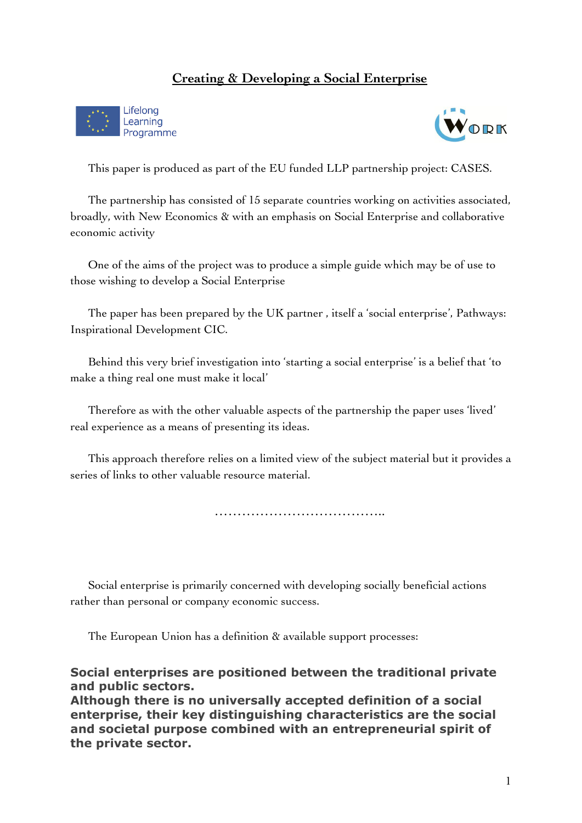### **Creating & Developing a Social Enterprise**





This paper is produced as part of the EU funded LLP partnership project: CASES.

The partnership has consisted of 15 separate countries working on activities associated, broadly, with New Economics & with an emphasis on Social Enterprise and collaborative economic activity

One of the aims of the project was to produce a simple guide which may be of use to those wishing to develop a Social Enterprise

The paper has been prepared by the UK partner , itself a 'social enterprise', Pathways: Inspirational Development CIC.

Behind this very brief investigation into 'starting a social enterprise' is a belief that 'to make a thing real one must make it local'

Therefore as with the other valuable aspects of the partnership the paper uses 'lived' real experience as a means of presenting its ideas.

This approach therefore relies on a limited view of the subject material but it provides a series of links to other valuable resource material.

………………………………………………

Social enterprise is primarily concerned with developing socially beneficial actions rather than personal or company economic success.

The European Union has a definition  $\alpha$  available support processes:

**Social enterprises are positioned between the traditional private and public sectors.**

**Although there is no universally accepted definition of a social enterprise, their key distinguishing characteristics are the social and societal purpose combined with an entrepreneurial spirit of the private sector.**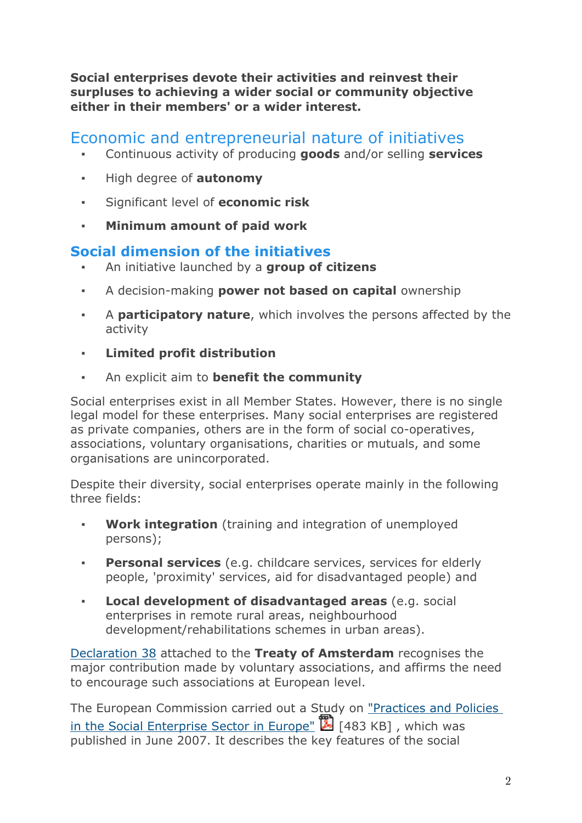**Social enterprises devote their activities and reinvest their surpluses to achieving a wider social or community objective either in their members' or a wider interest.**

# Economic and entrepreneurial nature of initiatives

- Continuous activity of producing **goods** and/or selling **services**
- High degree of **autonomy**
- Significant level of **economic risk**
- **Minimum amount of paid work**

## **Social dimension of the initiatives**

- An initiative launched by a **group of citizens**
- A decision-making **power not based on capital** ownership
- A **participatory nature**, which involves the persons affected by the activity
- **Limited profit distribution**
- An explicit aim to **benefit the community**

Social enterprises exist in all Member States. However, there is no single legal model for these enterprises. Many social enterprises are registered as private companies, others are in the form of social co-operatives, associations, voluntary organisations, charities or mutuals, and some organisations are unincorporated.

Despite their diversity, social enterprises operate mainly in the following three fields:

- **Work integration** (training and integration of unemployed persons);
- **Personal services** (e.g. childcare services, services for elderly people, 'proximity' services, aid for disadvantaged people) and
- **Local development of disadvantaged areas** (e.g. social enterprises in remote rural areas, neighbourhood development/rehabilitations schemes in urban areas).

Declaration 38 attached to the **Treaty of Amsterdam** recognises the major contribution made by voluntary associations, and affirms the need to encourage such associations at European level.

The European Commission carried out a Study on "Practices and Policies in the Social Enterprise Sector in Europe" [483 KB] , which was published in June 2007. It describes the key features of the social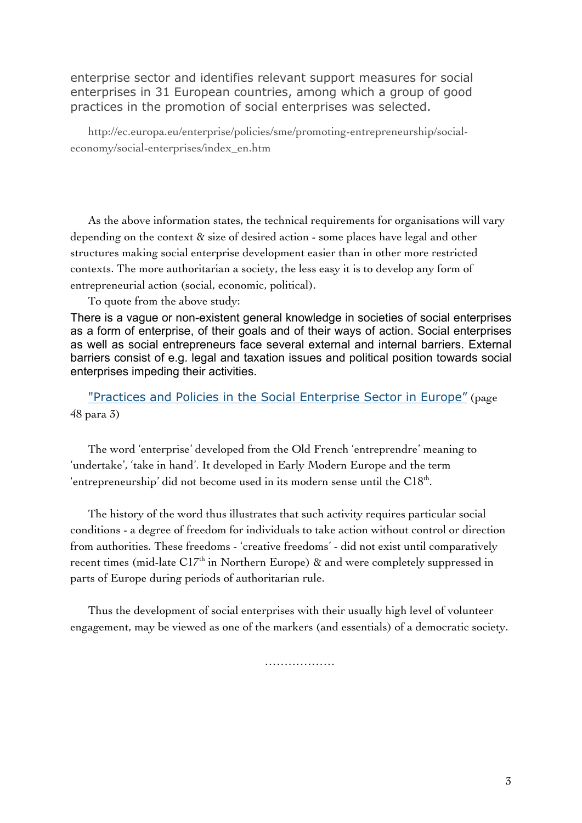enterprise sector and identifies relevant support measures for social enterprises in 31 European countries, among which a group of good practices in the promotion of social enterprises was selected.

http://ec.europa.eu/enterprise/policies/sme/promoting-entrepreneurship/socialeconomy/social-enterprises/index\_en.htm

As the above information states, the technical requirements for organisations will vary depending on the context & size of desired action - some places have legal and other structures making social enterprise development easier than in other more restricted contexts. The more authoritarian a society, the less easy it is to develop any form of entrepreneurial action (social, economic, political).

To quote from the above study:

There is a vague or non-existent general knowledge in societies of social enterprises as a form of enterprise, of their goals and of their ways of action. Social enterprises as well as social entrepreneurs face several external and internal barriers. External barriers consist of e.g. legal and taxation issues and political position towards social enterprises impeding their activities.

"Practices and Policies in the Social Enterprise Sector in Europe" (page 48 para 3)

The word 'enterprise' developed from the Old French 'entreprendre' meaning to 'undertake', 'take in hand'. It developed in Early Modern Europe and the term 'entrepreneurship' did not become used in its modern sense until the  $C18<sup>th</sup>$ .

The history of the word thus illustrates that such activity requires particular social conditions - a degree of freedom for individuals to take action without control or direction from authorities. These freedoms - 'creative freedoms' - did not exist until comparatively recent times (mid-late  $CI7<sup>th</sup>$  in Northern Europe)  $\alpha$  and were completely suppressed in parts of Europe during periods of authoritarian rule.

Thus the development of social enterprises with their usually high level of volunteer engagement, may be viewed as one of the markers (and essentials) of a democratic society.

……………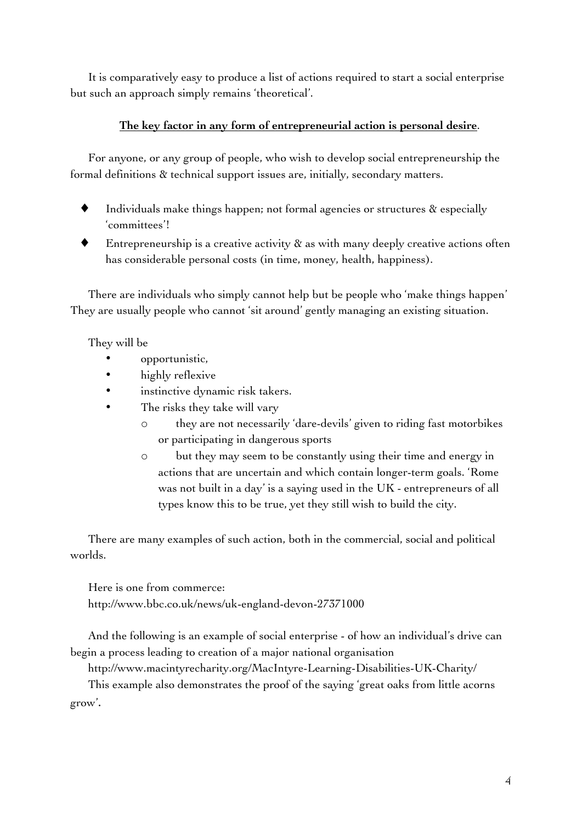It is comparatively easy to produce a list of actions required to start a social enterprise but such an approach simply remains 'theoretical'.

#### **The key factor in any form of entrepreneurial action is personal desire**.

For anyone, or any group of people, who wish to develop social entrepreneurship the formal definitions & technical support issues are, initially, secondary matters.

- Individuals make things happen; not formal agencies or structures  $\&$  especially 'committees'!
- Entrepreneurship is a creative activity  $\alpha$  as with many deeply creative actions often has considerable personal costs (in time, money, health, happiness).

There are individuals who simply cannot help but be people who 'make things happen' They are usually people who cannot 'sit around' gently managing an existing situation.

They will be

- opportunistic,
- highly reflexive
- instinctive dynamic risk takers.
	- The risks they take will vary
		- o they are not necessarily 'dare-devils' given to riding fast motorbikes or participating in dangerous sports
		- o but they may seem to be constantly using their time and energy in actions that are uncertain and which contain longer-term goals. 'Rome was not built in a day' is a saying used in the UK - entrepreneurs of all types know this to be true, yet they still wish to build the city.

There are many examples of such action, both in the commercial, social and political worlds.

Here is one from commerce: http://www.bbc.co.uk/news/uk-england-devon-27371000

And the following is an example of social enterprise - of how an individual's drive can begin a process leading to creation of a major national organisation

http://www.macintyrecharity.org/MacIntyre-Learning-Disabilities-UK-Charity/

This example also demonstrates the proof of the saying 'great oaks from little acorns grow'.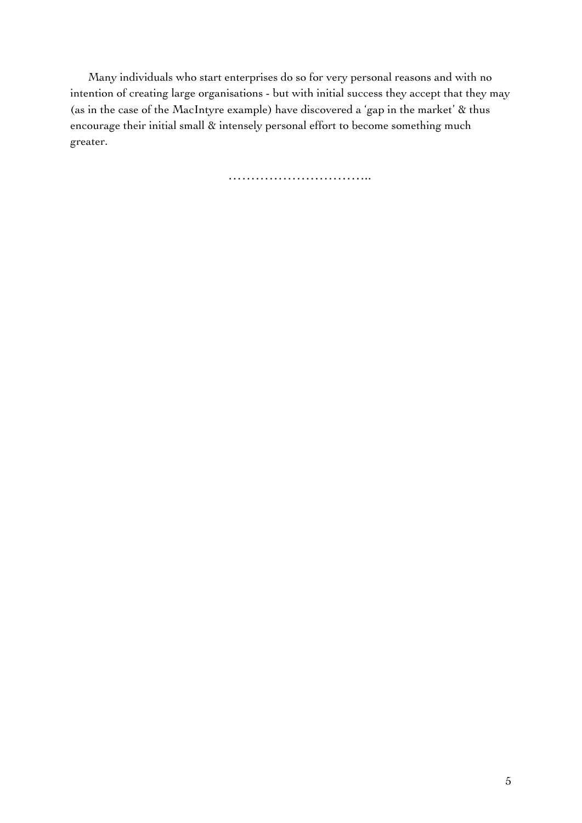Many individuals who start enterprises do so for very personal reasons and with no intention of creating large organisations - but with initial success they accept that they may (as in the case of the MacIntyre example) have discovered a 'gap in the market' & thus encourage their initial small & intensely personal effort to become something much greater.

……………………………………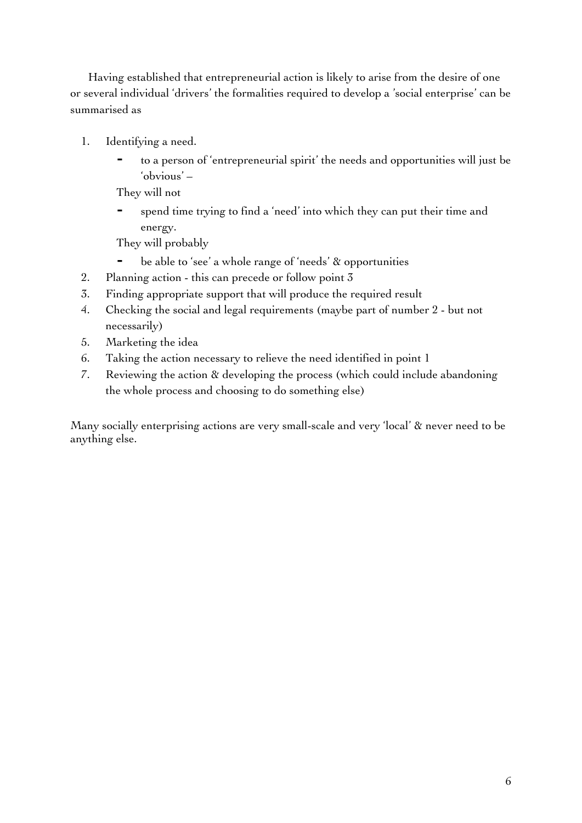Having established that entrepreneurial action is likely to arise from the desire of one or several individual 'drivers' the formalities required to develop a 'social enterprise' can be summarised as

- 1. Identifying a need.
	- to a person of 'entrepreneurial spirit' the needs and opportunities will just be 'obvious' –

They will not

spend time trying to find a 'need' into which they can put their time and energy.

They will probably

- ⁃ be able to 'see' a whole range of 'needs' & opportunities
- 2. Planning action this can precede or follow point 3
- 3. Finding appropriate support that will produce the required result
- 4. Checking the social and legal requirements (maybe part of number 2 but not necessarily)
- 5. Marketing the idea
- 6. Taking the action necessary to relieve the need identified in point 1
- 7. Reviewing the action & developing the process (which could include abandoning the whole process and choosing to do something else)

Many socially enterprising actions are very small-scale and very 'local' & never need to be anything else.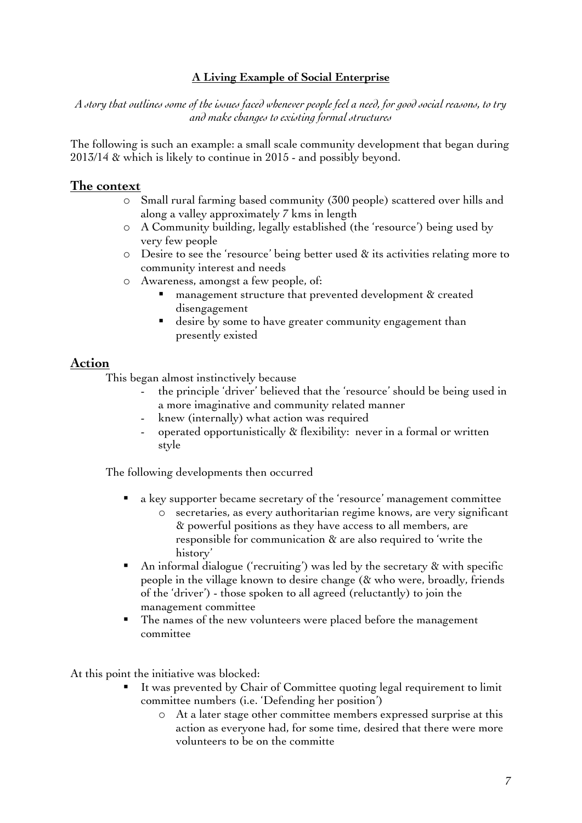#### **A Living Example of Social Enterprise**

*A story that outlines some of the issues faced whenever people feel a need, for good social reasons, to try and make changes to existing formal structures*

The following is such an example: a small scale community development that began during 2013/14 & which is likely to continue in 2015 - and possibly beyond.

#### **The context**

- o Small rural farming based community (300 people) scattered over hills and along a valley approximately 7 kms in length
- o A Community building, legally established (the 'resource') being used by very few people
- o Desire to see the 'resource' being better used & its activities relating more to community interest and needs
- o Awareness, amongst a few people, of:
	- management structure that prevented development & created disengagement
	- desire by some to have greater community engagement than presently existed

#### **Action**

This began almost instinctively because

- the principle 'driver' believed that the 'resource' should be being used in a more imaginative and community related manner
- knew (internally) what action was required
- operated opportunistically & flexibility: never in a formal or written style

The following developments then occurred

- ! a key supporter became secretary of the 'resource' management committee
	- o secretaries, as every authoritarian regime knows, are very significant & powerful positions as they have access to all members, are responsible for communication & are also required to 'write the history'
- ! An informal dialogue ('recruiting') was led by the secretary & with specific people in the village known to desire change (& who were, broadly, friends of the 'driver') - those spoken to all agreed (reluctantly) to join the management committee
- ! The names of the new volunteers were placed before the management committee

At this point the initiative was blocked:

- It was prevented by Chair of Committee quoting legal requirement to limit committee numbers (i.e. 'Defending her position')
	- o At a later stage other committee members expressed surprise at this action as everyone had, for some time, desired that there were more volunteers to be on the committe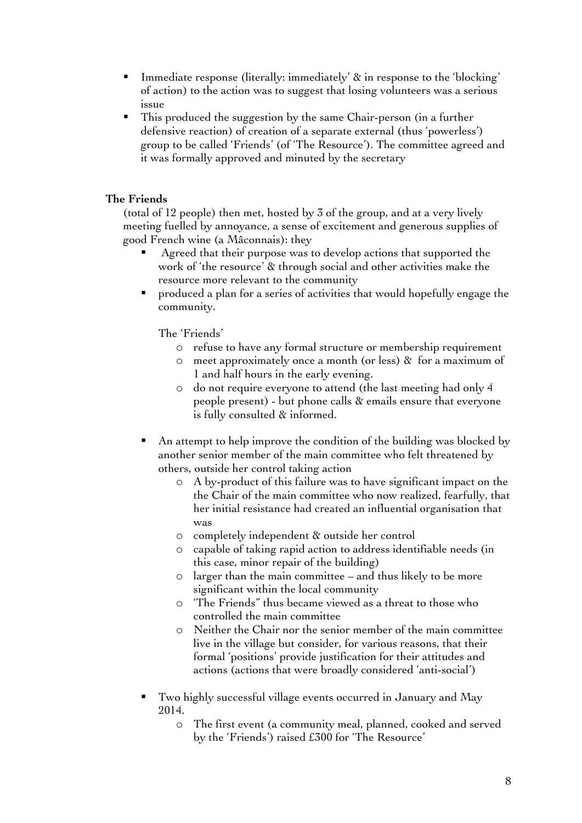- Immediate response (literally: immediately' & in response to the 'blocking' of action) to the action was to suggest that losing volunteers was a serious issue
- ! This produced the suggestion by the same Chair-person (in a further defensive reaction) of creation of a separate external (thus 'powerless') group to be called 'Friends' (of 'The Resource'). The committee agreed and it was formally approved and minuted by the secretary

#### **The Friends**

(total of 12 people) then met, hosted by 3 of the group, and at a very lively meeting fuelled by annoyance, a sense of excitement and generous supplies of good French wine (a Mâconnais): they

- Agreed that their purpose was to develop actions that supported the work of 'the resource' & through social and other activities make the resource more relevant to the community
- produced a plan for a series of activities that would hopefully engage the community.

The 'Friends'

- o refuse to have any formal structure or membership requirement
- o meet approximately once a month (or less) & for a maximum of 1 and half hours in the early evening.
- o do not require everyone to attend (the last meeting had only 4 people present) - but phone calls & emails ensure that everyone is fully consulted & informed.
- An attempt to help improve the condition of the building was blocked by another senior member of the main committee who felt threatened by others, outside her control taking action
	- o A by-product of this failure was to have significant impact on the the Chair of the main committee who now realized, fearfully, that her initial resistance had created an influential organisation that was
	- o completely independent & outside her control
	- o capable of taking rapid action to address identifiable needs (in this case, minor repair of the building)
	- o larger than the main committee and thus likely to be more significant within the local community
	- o 'The Friends" thus became viewed as a threat to those who controlled the main committee
	- o Neither the Chair nor the senior member of the main committee live in the village but consider, for various reasons, that their formal 'positions' provide justification for their attitudes and actions (actions that were broadly considered 'anti-social')
- ! Two highly successful village events occurred in January and May 2014.
	- o The first event (a community meal, planned, cooked and served by the 'Friends') raised £300 for 'The Resource'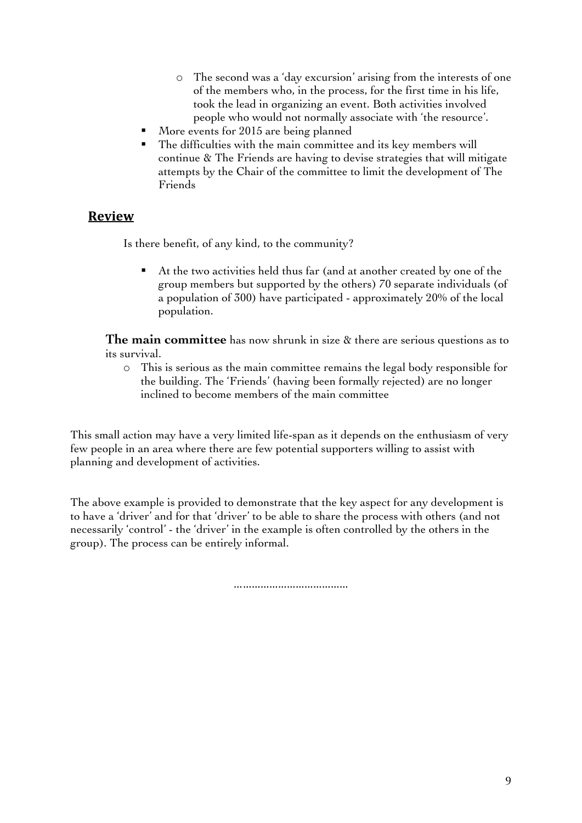- o The second was a 'day excursion' arising from the interests of one of the members who, in the process, for the first time in his life, took the lead in organizing an event. Both activities involved people who would not normally associate with 'the resource'.
- More events for 2015 are being planned
- The difficulties with the main committee and its key members will continue & The Friends are having to devise strategies that will mitigate attempts by the Chair of the committee to limit the development of The Friends

#### **Review**

Is there benefit, of any kind, to the community?

At the two activities held thus far (and at another created by one of the group members but supported by the others) 70 separate individuals (of a population of 300) have participated - approximately 20% of the local population.

**The main committee** has now shrunk in size & there are serious questions as to its survival.

o This is serious as the main committee remains the legal body responsible for the building. The 'Friends' (having been formally rejected) are no longer inclined to become members of the main committee

This small action may have a very limited life-span as it depends on the enthusiasm of very few people in an area where there are few potential supporters willing to assist with planning and development of activities.

The above example is provided to demonstrate that the key aspect for any development is to have a 'driver' and for that 'driver' to be able to share the process with others (and not necessarily 'control' - the 'driver' in the example is often controlled by the others in the group). The process can be entirely informal.

………………………………………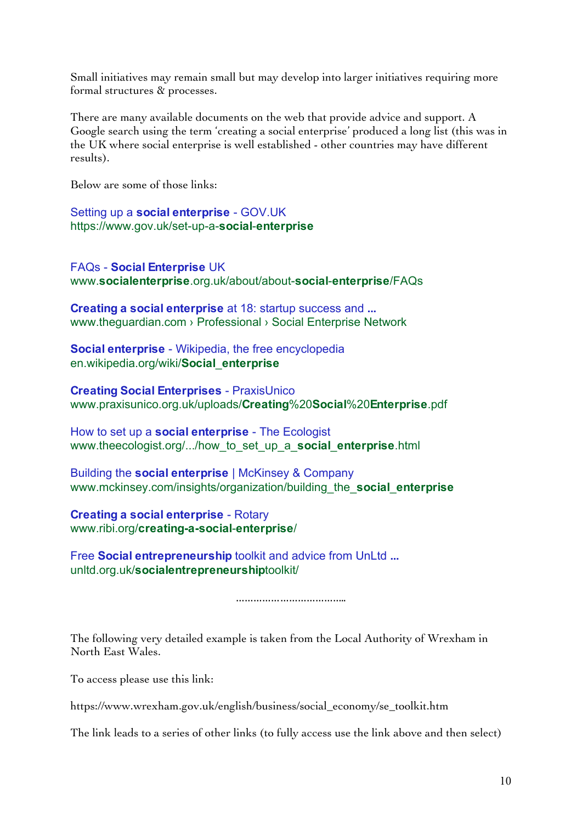Small initiatives may remain small but may develop into larger initiatives requiring more formal structures & processes.

There are many available documents on the web that provide advice and support. A Google search using the term 'creating a social enterprise' produced a long list (this was in the UK where social enterprise is well established - other countries may have different results).

Below are some of those links:

Setting up a **social enterprise** - GOV.UK https://www.gov.uk/set-up-a-**social**-**enterprise**

FAQs - **Social Enterprise** UK www.**socialenterprise**.org.uk/about/about-**social**-**enterprise**/FAQs

**Creating a social enterprise** at 18: startup success and **...** www.theguardian.com › Professional › Social Enterprise Network

**Social enterprise** - Wikipedia, the free encyclopedia en.wikipedia.org/wiki/**Social**\_**enterprise**

**Creating Social Enterprises** - PraxisUnico www.praxisunico.org.uk/uploads/**Creating**%20**Social**%20**Enterprise**.pdf

How to set up a **social enterprise** - The Ecologist www.theecologist.org/.../how\_to\_set\_up\_a\_**social**\_**enterprise**.html

Building the **social enterprise** | McKinsey & Company www.mckinsey.com/insights/organization/building\_the\_**social**\_**enterprise**

**Creating a social enterprise** - Rotary www.ribi.org/**creating-a-social**-**enterprise**/

Free **Social entrepreneurship** toolkit and advice from UnLtd **...** unltd.org.uk/**socialentrepreneurship**toolkit/

……………………………………………

The following very detailed example is taken from the Local Authority of Wrexham in North East Wales.

To access please use this link:

https://www.wrexham.gov.uk/english/business/social\_economy/se\_toolkit.htm

The link leads to a series of other links (to fully access use the link above and then select)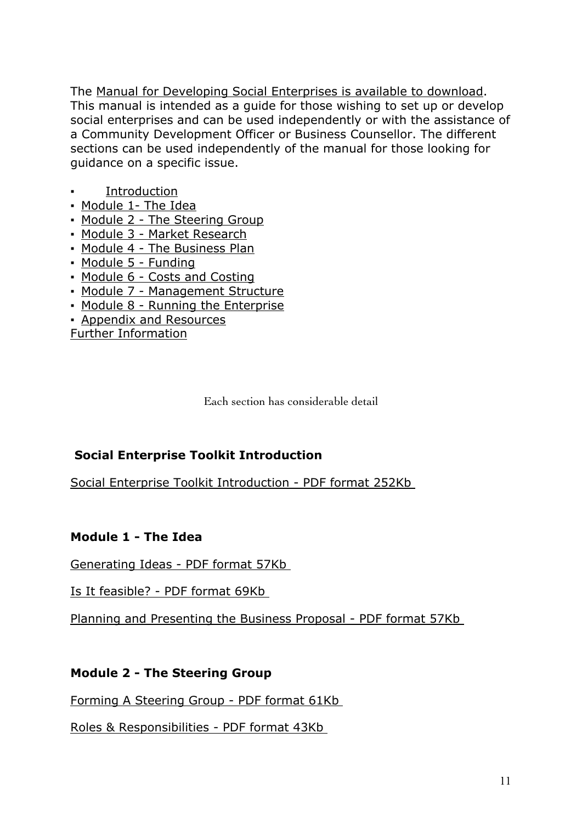The Manual for Developing Social Enterprises is available to download. This manual is intended as a guide for those wishing to set up or develop social enterprises and can be used independently or with the assistance of a Community Development Officer or Business Counsellor. The different sections can be used independently of the manual for those looking for guidance on a specific issue.

- **Introduction**
- Module 1- The Idea
- Module 2 The Steering Group
- Module 3 Market Research
- Module 4 The Business Plan
- Module 5 Funding
- Module 6 Costs and Costing
- Module 7 Management Structure
- Module 8 Running the Enterprise
- Appendix and Resources

Further Information

Each section has considerable detail

## **Social Enterprise Toolkit Introduction**

Social Enterprise Toolkit Introduction - PDF format 252Kb

### **Module 1 - The Idea**

Generating Ideas - PDF format 57Kb

Is It feasible? - PDF format 69Kb

Planning and Presenting the Business Proposal - PDF format 57Kb

### **Module 2 - The Steering Group**

Forming A Steering Group - PDF format 61Kb

Roles & Responsibilities - PDF format 43Kb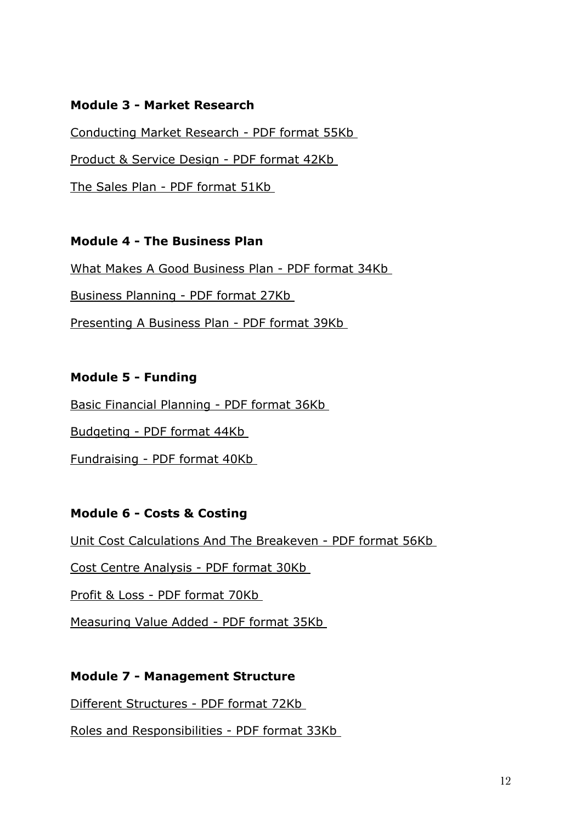### **Module 3 - Market Research**

Conducting Market Research - PDF format 55Kb Product & Service Design - PDF format 42Kb The Sales Plan - PDF format 51Kb

### **Module 4 - The Business Plan**

What Makes A Good Business Plan - PDF format 34Kb

Business Planning - PDF format 27Kb

Presenting A Business Plan - PDF format 39Kb

#### **Module 5 - Funding**

Basic Financial Planning - PDF format 36Kb

Budgeting - PDF format 44Kb

Fundraising - PDF format 40Kb

### **Module 6 - Costs & Costing**

Unit Cost Calculations And The Breakeven - PDF format 56Kb

Cost Centre Analysis - PDF format 30Kb

Profit & Loss - PDF format 70Kb

Measuring Value Added - PDF format 35Kb

#### **Module 7 - Management Structure**

Different Structures - PDF format 72Kb

Roles and Responsibilities - PDF format 33Kb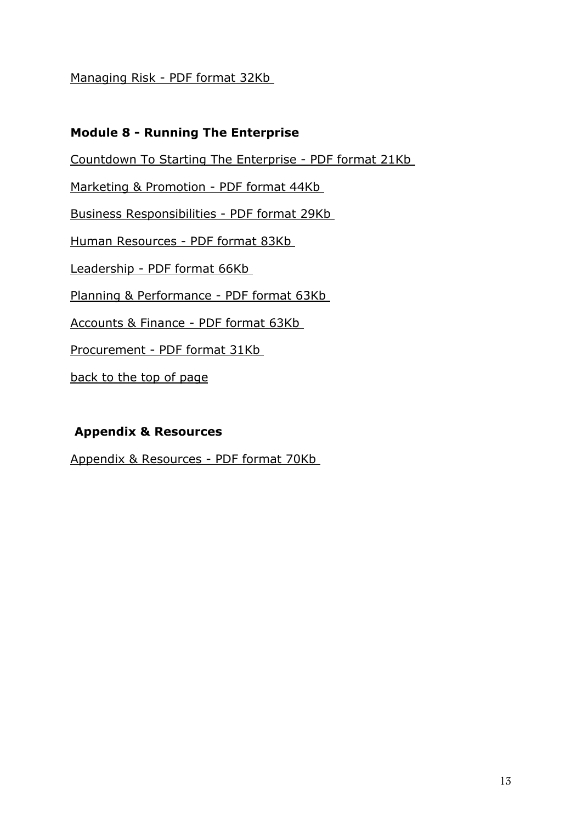#### Managing Risk - PDF format 32Kb

#### **Module 8 - Running The Enterprise**

Countdown To Starting The Enterprise - PDF format 21Kb

Marketing & Promotion - PDF format 44Kb

Business Responsibilities - PDF format 29Kb

Human Resources - PDF format 83Kb

Leadership - PDF format 66Kb

Planning & Performance - PDF format 63Kb

Accounts & Finance - PDF format 63Kb

Procurement - PDF format 31Kb

back to the top of page

### **Appendix & Resources**

Appendix & Resources - PDF format 70Kb